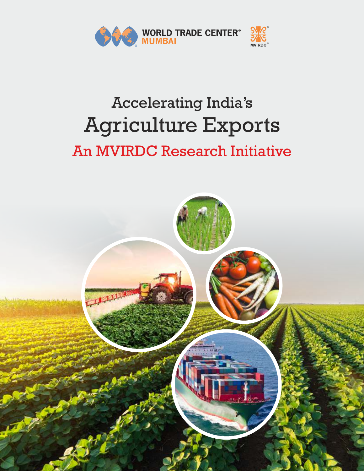

## Accelerating India's Agriculture Exports An MVIRDC Research Initiative

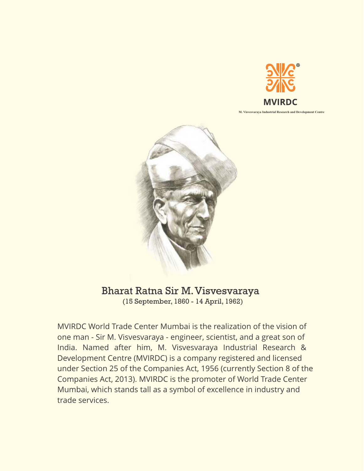

**M. Visvesvaraya Industrial Research and Development Centre**



## Bharat Ratna Sir M.Visvesvaraya

(15 September, 1860 - 14 April, 1962)

MVIRDC World Trade Center Mumbai is the realization of the vision of one man - Sir M. Visvesvaraya - engineer, scientist, and a great son of India. Named after him, M. Visvesvaraya Industrial Research & Development Centre (MVIRDC) is a company registered and licensed under Section 25 of the Companies Act, 1956 (currently Section 8 of the Companies Act, 2013). MVIRDC is the promoter of World Trade Center Mumbai, which stands tall as a symbol of excellence in industry and trade services.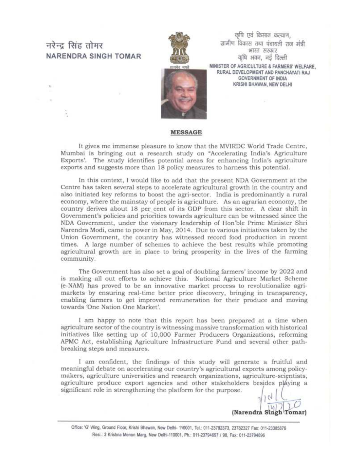### नरेन्द सिंह तोमर **NARENDRA SINGH TOMAR**



कषि एवं किसान कल्याण. ग्रामीण विकास तथा पंचायती राज मंत्री भारत सरकार कृषि भवन, नई दिल्ली

MINISTER OF AGRICULTURE & FARMERS' WELFARE. RURAL DEVELOPMENT AND PANCHAYATI RAJ **GOVERNMENT OF INDIA** KRISHI BHAWAN, NEW DELHI



#### **MESSAGE**

It gives me immense pleasure to know that the MVIRDC World Trade Centre, Mumbai is bringing out a research study on "Accelerating India's Agriculture Exports'. The study identifies potential areas for enhancing India's agriculture exports and suggests more than 18 policy measures to harness this potential.

In this context, I would like to add that the present NDA Government at the Centre has taken several steps to accelerate agricultural growth in the country and also initiated key reforms to boost the agri-sector. India is predominantly a rural economy, where the mainstay of people is agriculture. As an agrarian economy, the country derives about 18 per cent of its GDP from this sector. A clear shift in Government's policies and priorities towards agriculture can be witnessed since the NDA Government, under the visionary leadership of Hon'ble Prime Minister Shri Narendra Modi, came to power in May, 2014. Due to various initiatives taken by the Union Government, the country has witnessed record food production in recent times. A large number of schemes to achieve the best results while promoting agricultural growth are in place to bring prosperity in the lives of the farming community.

The Government has also set a goal of doubling farmers' income by 2022 and is making all out efforts to achieve this. National Agriculture Market Scheme (e-NAM) has proved to be an innovative market process to revolutionalize agrimarkets by ensuring real-time better price discovery, bringing in transparency, enabling farmers to get improved remuneration for their produce and moving towards 'One Nation One Market'.

I am happy to note that this report has been prepared at a time when agriculture sector of the country is witnessing massive transformation with historical initiatives like setting up of 10,000 Farmer Producers Organizations, reforming APMC Act, establishing Agriculture Infrastructure Fund and several other pathbreaking steps and measures.

I am confident, the findings of this study will generate a fruitful and meaningful debate on accelerating our country's agricultural exports among policymakers, agriculture universities and research organizations, agriculture-scientists, agriculture produce export agencies and other stakeholders besides playing a significant role in strengthening the platform for the purpose.

(Narendra Singh Tomar)

Office: 'G' Wing, Ground Floor, Krishi Bhawan, New Delhi- 110001, Tel.: 011-23782373, 23782327 Fax: 011-23385876 Resi.: 3 Krishna Menon Marg, New Delhi-110001, Ph.: 011-23794697 / 98, Fax: 011-23794696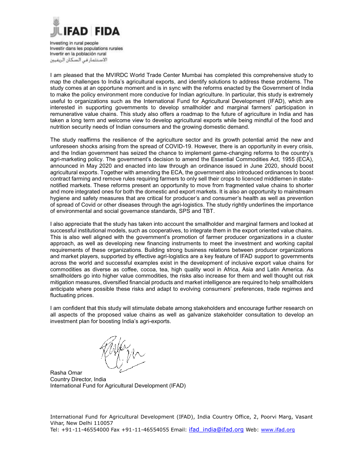

Investing in rural people Investir dans les populations rurales Invertir en la población rural الاستثمار فى السكان الريفيين

I am pleased that the MVIRDC World Trade Center Mumbai has completed this comprehensive study to map the challenges to India's agricultural exports, and identify solutions to address these problems. The study comes at an opportune moment and is in sync with the reforms enacted by the Government of India to make the policy environment more conducive for Indian agriculture. In particular, this study is extremely useful to organizations such as the International Fund for Agricultural Development (IFAD), which are interested in supporting governments to develop smallholder and marginal farmers' participation in remunerative value chains. This study also offers a roadmap to the future of agriculture in India and has taken a long term and welcome view to develop agricultural exports while being mindful of the food and nutrition security needs of Indian consumers and the growing domestic demand.

The study reaffirms the resilience of the agriculture sector and its growth potential amid the new and unforeseen shocks arising from the spread of COVID-19. However, there is an opportunity in every crisis, and the Indian government has seized the chance to implement game-changing reforms to the country's agri-marketing policy. The government's decision to amend the Essential Commodities Act, 1955 (ECA), announced in May 2020 and enacted into law through an ordinance issued in June 2020, should boost agricultural exports. Together with amending the ECA, the government also introduced ordinances to boost contract farming and remove rules requiring farmers to only sell their crops to licenced middlemen in statenotified markets. These reforms present an opportunity to move from fragmented value chains to shorter and more integrated ones for both the domestic and export markets. It is also an opportunity to mainstream hygiene and safety measures that are critical for producer's and consumer's health as well as prevention of spread of Covid or other diseases through the agri-logistics. The study rightly underlines the importance of environmental and social governance standards, SPS and TBT.

I also appreciate that the study has taken into account the smallholder and marginal farmers and looked at successful institutional models, such as cooperatives, to integrate them in the export oriented value chains. This is also well aligned with the government's promotion of farmer producer organizations in a cluster approach, as well as developing new financing instruments to meet the investment and working capital requirements of these organizations. Building strong business relations between producer organizations and market players, supported by effective agri-logistics are a key feature of IFAD support to governments across the world and successful examples exist in the development of inclusive export value chains for commodities as diverse as coffee, cocoa, tea, high quality wool in Africa, Asia and Latin America. As smallholders go into higher value commodities, the risks also increase for them and well thought out risk mitigation measures, diversified financial products and market intelligence are required to help smallholders anticipate where possible these risks and adapt to evolving consumers' preferences, trade regimes and fluctuating prices.

I am confident that this study will stimulate debate among stakeholders and encourage further research on all aspects of the proposed value chains as well as galvanize stakeholder consultation to develop an investment plan for boosting India's agri-exports.

Rasha Omar Country Director, India International Fund for Agricultural Development (IFAD)

International Fund for Agricultural Development (IFAD), India Country Office, 2, Poorvi Marg, Vasant Vihar, New Delhi 110057 Tel: +91-11-46554000 Fax +91-11-46554055 Email: ifad india@ifad.org Web: www.ifad.org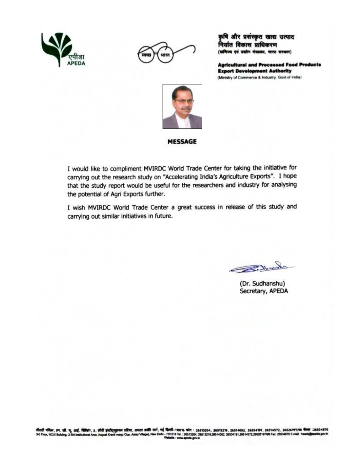



कृषि और प्रसंस्कृत खाद्य उत्पाद निर्यात विकास प्राधिकरण (वाणिज्य एवं जबाँग मंत्रालय, भारत सरकार)

**Agricultural and Processed Food Products Export Development Authority** (Ministry of Commerce & Industry, Govt of India)



#### **MESSAGE**

I would like to compliment MVIRDC World Trade Center for taking the initiative for carrying out the research study on "Accelerating India's Agriculture Exports". I hope that the study report would be useful for the researchers and industry for analysing the potential of Agri Exports further.

I wish MVIRDC World Trade Center a great success in release of this study and carrying out similar initiatives in future.

Inchant

(Dr. Sudhanshu) Secretary, APEDA

तीसरी मंकिल, एन. ती. यू. आई. विकिंग, 3. सीरी इंस्टीट्सुगमल इरिया, अगला क्रांति मार्ग, नई दिल्ली-110016 कोन : 26513204, 26513219, 26514052, 26534191, 26514572, 26526197/98 केला :26534870<br>3ed Ploor, NCUI Building, 3 Sid Ins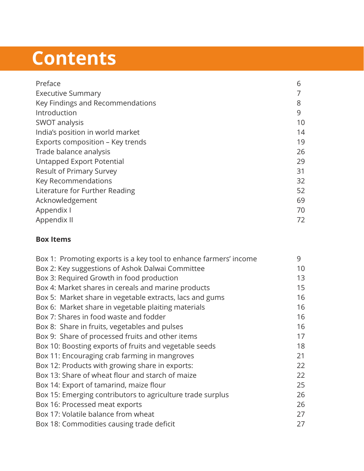# **Contents**

| 6  |
|----|
|    |
| 8  |
| 9  |
| 10 |
| 14 |
| 19 |
| 26 |
| 29 |
| 31 |
| 32 |
| 52 |
| 69 |
| 70 |
| 72 |
|    |

### **Box Items**

| Box 1: Promoting exports is a key tool to enhance farmers' income | 9  |
|-------------------------------------------------------------------|----|
| Box 2: Key suggestions of Ashok Dalwai Committee                  | 10 |
| Box 3: Required Growth in food production                         | 13 |
| Box 4: Market shares in cereals and marine products               | 15 |
| Box 5: Market share in vegetable extracts, lacs and gums          | 16 |
| Box 6: Market share in vegetable plaiting materials               | 16 |
| Box 7: Shares in food waste and fodder                            | 16 |
| Box 8: Share in fruits, vegetables and pulses                     | 16 |
| Box 9: Share of processed fruits and other items                  | 17 |
| Box 10: Boosting exports of fruits and vegetable seeds            | 18 |
| Box 11: Encouraging crab farming in mangroves                     | 21 |
| Box 12: Products with growing share in exports:                   | 22 |
| Box 13: Share of wheat flour and starch of maize                  | 22 |
| Box 14: Export of tamarind, maize flour                           | 25 |
| Box 15: Emerging contributors to agriculture trade surplus        | 26 |
| Box 16: Processed meat exports                                    | 26 |
| Box 17: Volatile balance from wheat                               | 27 |
| Box 18: Commodities causing trade deficit                         | 27 |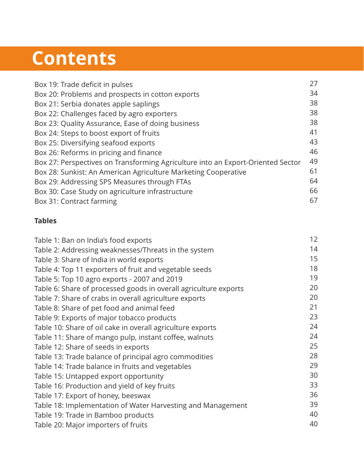# **Contents**

| Box 19: Trade deficit in pulses                                                 | 27 |
|---------------------------------------------------------------------------------|----|
| Box 20: Problems and prospects in cotton exports                                | 34 |
| Box 21: Serbia donates apple saplings                                           | 38 |
| Box 22: Challenges faced by agro exporters                                      | 38 |
| Box 23: Quality Assurance, Ease of doing business                               | 38 |
| Box 24: Steps to boost export of fruits                                         | 41 |
| Box 25: Diversifying seafood exports                                            | 43 |
| Box 26: Reforms in pricing and finance                                          | 46 |
| Box 27: Perspectives on Transforming Agriculture into an Export-Oriented Sector | 49 |
| Box 28: Sunkist: An American Agriculture Marketing Cooperative                  | 61 |
| Box 29: Addressing SPS Measures through FTAs                                    | 64 |
| Box 30: Case Study on agriculture infrastructure                                | 66 |
| Box 31: Contract farming                                                        | 67 |
|                                                                                 |    |

### **Tables**

| Table 1: Ban on India's food exports                             | 12 |
|------------------------------------------------------------------|----|
| Table 2: Addressing weaknesses/Threats in the system             | 14 |
| Table 3: Share of India in world exports                         | 15 |
| Table 4: Top 11 exporters of fruit and vegetable seeds           | 18 |
| Table 5: Top 10 agro exports - 2007 and 2019                     | 19 |
| Table 6: Share of processed goods in overall agriculture exports | 20 |
| Table 7: Share of crabs in overall agriculture exports           | 20 |
| Table 8: Share of pet food and animal feed                       | 21 |
| Table 9: Exports of major tobacco products                       | 23 |
| Table 10: Share of oil cake in overall agriculture exports       | 24 |
| Table 11: Share of mango pulp, instant coffee, walnuts           | 24 |
| Table 12: Share of seeds in exports                              | 25 |
| Table 13: Trade balance of principal agro commodities            | 28 |
| Table 14: Trade balance in fruits and vegetables                 | 29 |
| Table 15: Untapped export opportunity                            | 30 |
| Table 16: Production and yield of key fruits                     | 33 |
| Table 17: Export of honey, beeswax                               | 36 |
| Table 18: Implementation of Water Harvesting and Management      | 39 |
| Table 19: Trade in Bamboo products                               | 40 |
| Table 20: Major importers of fruits                              | 40 |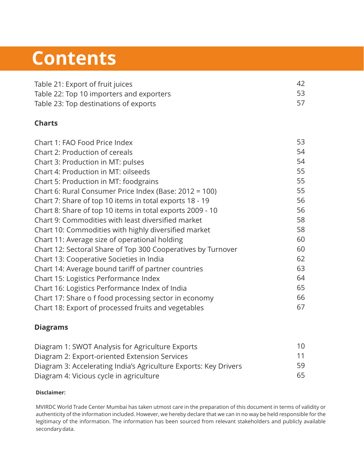## **Contents**

| Table 21: Export of fruit juices         | 42 |
|------------------------------------------|----|
| Table 22: Top 10 importers and exporters | 53 |
| Table 23: Top destinations of exports    |    |

### **Charts**

| Chart 1: FAO Food Price Index                                | 53 |
|--------------------------------------------------------------|----|
| Chart 2: Production of cereals                               | 54 |
| Chart 3: Production in MT: pulses                            | 54 |
| Chart 4: Production in MT: oilseeds                          | 55 |
| Chart 5: Production in MT: foodgrains                        | 55 |
| Chart 6: Rural Consumer Price Index (Base: 2012 = 100)       | 55 |
| Chart 7: Share of top 10 items in total exports 18 - 19      | 56 |
| Chart 8: Share of top 10 items in total exports 2009 - 10    | 56 |
| Chart 9: Commodities with least diversified market           | 58 |
| Chart 10: Commodities with highly diversified market         | 58 |
| Chart 11: Average size of operational holding                | 60 |
| Chart 12: Sectoral Share of Top 300 Cooperatives by Turnover | 60 |
| Chart 13: Cooperative Societies in India                     | 62 |
| Chart 14: Average bound tariff of partner countries          | 63 |
| Chart 15: Logistics Performance Index                        | 64 |
| Chart 16: Logistics Performance Index of India               | 65 |
| Chart 17: Share o f food processing sector in economy        | 66 |
| Chart 18: Export of processed fruits and vegetables          | 67 |
|                                                              |    |

#### **Diagrams**

| Diagram 1: SWOT Analysis for Agriculture Exports                 | 10  |
|------------------------------------------------------------------|-----|
| Diagram 2: Export-oriented Extension Services                    | 11  |
| Diagram 3: Accelerating India's Agriculture Exports: Key Drivers | 59. |
| Diagram 4: Vicious cycle in agriculture                          | 65. |

#### **Disclaimer:**

MVIRDC World Trade Center Mumbai has taken utmost care in the preparation of this document in terms of validity or authenticity of the information included. However, we hereby declare that we can in no way be held responsible for the legitimacy of the information. The information has been sourced from relevant stakeholders and publicly available secondary data.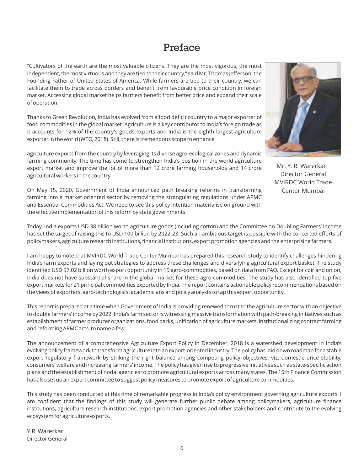### Preface

"Cultivators of the earth are the most valuable citizens. They are the most vigorous, the most independent, the most virtuous and they are tied to their country," said Mr. Thomas Jefferson, the Founding Father of United States of America. While farmers are tied to their country, we can facilitate them to trade across borders and benefit from favourable price condition in foreign market. Accessing global market helps farmers benefit from better price and expand their scale of operation.

Thanks to Green Revolution, India has evolved from a food deficit country to a major exporter of food commodities in the global market. Agriculture is a key contributor to India's foreign trade as it accounts for 12% of the country's goods exports and India is the eighth largest agriculture exporter in the world (WTO, 2018). Still, there is tremendous scope to enhance

agriculture exports from the country by leveraging its diverse agro-ecological zones and dynamic farming community. The time has come to strengthen India's position in the world agriculture export market and improve the lot of more than 12 crore farming households and 14 crore agricultural workers in the country.

On May 15, 2020, Government of India announced path breaking reforms in transforming farming into a market oriented sector by removing the strangulating regulations under APMC and Essential Commodities Act. We need to see this policy intention materialise on ground with the effective implementation of this reform by state governments.



Director General MVIRDC World Trade Center Mumbai Mr. Y. R. Warerkar

Today, India exports USD 38 billion worth agriculture goods (including cotton) and the Committee on Doubling Farmers' Income has set the target of raising this to USD 100 billion by 2022-23. Such an ambitious target is possible with the concerted efforts of policymakers, agriculture research institutions, financial institutions, export promotion agencies and the enterprising farmers.

I am happy to note that MVIRDC World Trade Center Mumbai has prepared this research study to identify challenges hindering India's farm exports and laying out strategies to address these challenges and diversifying agricultural export basket. The study identified USD 97.02 billion worth export opportunity in 19 agro-commodities, based on data from FAO. Except for coir and onion, India does not have substantial share in the global market for these agro-commodities. The study has also identified top five export markets for 21 principal commodities exported by India. The report contains actionable policy recommendations based on the views of exporters, agro-technologists, academicians and policy analysts to tap this export opportunity.

This report is prepared at a time when Government of India is providing renewed thrust to the agriculture sector with an objective to double farmers' income by 2022. India's farm sector is witnessing massive transformation with path-breaking initiatives such as establishment of farmer producer organizations, food parks, unification of agriculture markets, institutionalizing contract farming and reforming APMC acts, to name a few.

The announcement of a comprehensive Agriculture Export Policy in December, 2018 is a watershed development in India's evolving policy framework to transform agriculture into an export-oriented industry. The policy has laid down roadmap for a stable export regulatory framework by striking the right balance among competing policy objectives, viz. domestic price stability, consumers' welfare and increasing farmers' income. The policy has given rise to progressive initiatives such as state-specific action plans and the establishment of nodal agencies to promote agricultural exports across many states. The 15th Finance Commission has also set up an expert committee to suggest policy measures to promote export of agriculture commodities.

This study has been conducted at this time of remarkable progress in India's policy environment governing agriculture exports. I am confident that the findings of this study will generate further public debate among policymakers, agriculture finance institutions, agriculture research institutions, export promotion agencies and other stakeholders and contribute to the evolving ecosystem for agriculture exports.

Y.R. Warerkar Director General